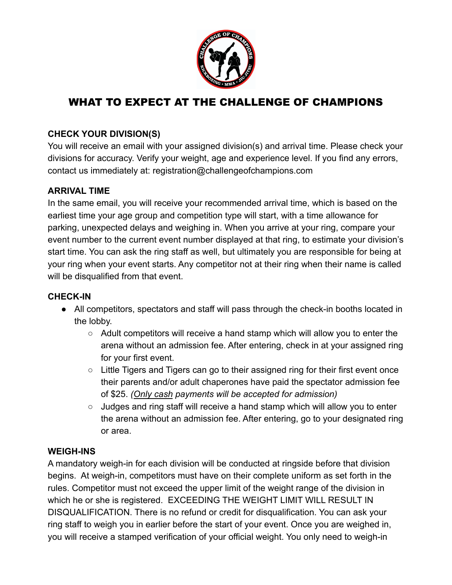

# WHAT TO EXPECT AT THE CHALLENGE OF CHAMPIONS

## **CHECK YOUR DIVISION(S)**

You will receive an email with your assigned division(s) and arrival time. Please check your divisions for accuracy. Verify your weight, age and experience level. If you find any errors, contact us immediately at: registration@challengeofchampions.com

#### **ARRIVAL TIME**

In the same email, you will receive your recommended arrival time, which is based on the earliest time your age group and competition type will start, with a time allowance for parking, unexpected delays and weighing in. When you arrive at your ring, compare your event number to the current event number displayed at that ring, to estimate your division's start time. You can ask the ring staff as well, but ultimately you are responsible for being at your ring when your event starts. Any competitor not at their ring when their name is called will be disqualified from that event.

#### **CHECK-IN**

- All competitors, spectators and staff will pass through the check-in booths located in the lobby.
	- $\circ$  Adult competitors will receive a hand stamp which will allow you to enter the arena without an admission fee. After entering, check in at your assigned ring for your first event.
	- Little Tigers and Tigers can go to their assigned ring for their first event once their parents and/or adult chaperones have paid the spectator admission fee of \$25. *(Only cash payments will be accepted for admission)*
	- Judges and ring staff will receive a hand stamp which will allow you to enter the arena without an admission fee. After entering, go to your designated ring or area.

# **WEIGH-INS**

A mandatory weigh-in for each division will be conducted at ringside before that division begins. At weigh-in, competitors must have on their complete uniform as set forth in the rules. Competitor must not exceed the upper limit of the weight range of the division in which he or she is registered. EXCEEDING THE WEIGHT LIMIT WILL RESULT IN DISQUALIFICATION. There is no refund or credit for disqualification. You can ask your ring staff to weigh you in earlier before the start of your event. Once you are weighed in, you will receive a stamped verification of your official weight. You only need to weigh-in